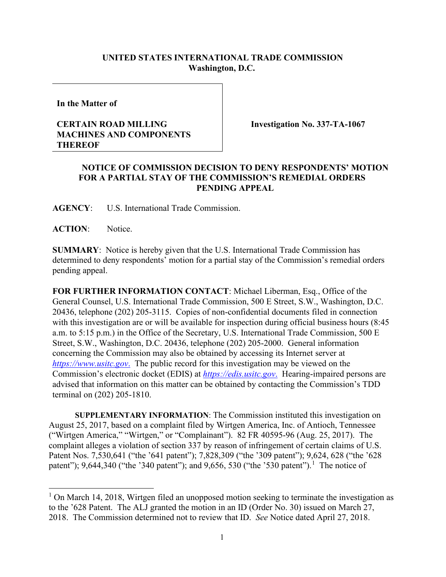## **UNITED STATES INTERNATIONAL TRADE COMMISSION Washington, D.C.**

**In the Matter of**

## **CERTAIN ROAD MILLING MACHINES AND COMPONENTS THEREOF**

**Investigation No. 337-TA-1067**

## **NOTICE OF COMMISSION DECISION TO DENY RESPONDENTS' MOTION FOR A PARTIAL STAY OF THE COMMISSION'S REMEDIAL ORDERS PENDING APPEAL**

**AGENCY**: U.S. International Trade Commission.

**ACTION**: Notice.

**SUMMARY**: Notice is hereby given that the U.S. International Trade Commission has determined to deny respondents' motion for a partial stay of the Commission's remedial orders pending appeal.

**FOR FURTHER INFORMATION CONTACT**: Michael Liberman, Esq., Office of the General Counsel, U.S. International Trade Commission, 500 E Street, S.W., Washington, D.C. 20436, telephone (202) 205-3115. Copies of non-confidential documents filed in connection with this investigation are or will be available for inspection during official business hours (8:45) a.m. to 5:15 p.m.) in the Office of the Secretary, U.S. International Trade Commission, 500 E Street, S.W., Washington, D.C. 20436, telephone (202) 205-2000. General information concerning the Commission may also be obtained by accessing its Internet server at *[https://www.usitc.gov](https://www.usitc.gov./)*. The public record for this investigation may be viewed on the Commission's electronic docket (EDIS) at *[https://edis.usitc.gov](https://edis.usitc.gov./)*. Hearing-impaired persons are advised that information on this matter can be obtained by contacting the Commission's TDD terminal on (202) 205-1810.

**SUPPLEMENTARY INFORMATION**: The Commission instituted this investigation on August 25, 2017, based on a complaint filed by Wirtgen America, Inc. of Antioch, Tennessee ("Wirtgen America," "Wirtgen," or "Complainant"). 82 FR 40595-96 (Aug. 25, 2017). The complaint alleges a violation of section 337 by reason of infringement of certain claims of U.S. Patent Nos. 7,530,641 ("the '641 patent"); 7,828,309 ("the '309 patent"); 9,624, 628 ("the '628 patent"); 9,644,340 ("the '340 patent"); and 9,656, 530 ("the '530 patent").<sup>[1](#page-0-0)</sup> The notice of

<span id="page-0-0"></span> $1$  On March 14, 2018, Wirtgen filed an unopposed motion seeking to terminate the investigation as to the '628 Patent. The ALJ granted the motion in an ID (Order No. 30) issued on March 27, 2018. The Commission determined not to review that ID. *See* Notice dated April 27, 2018.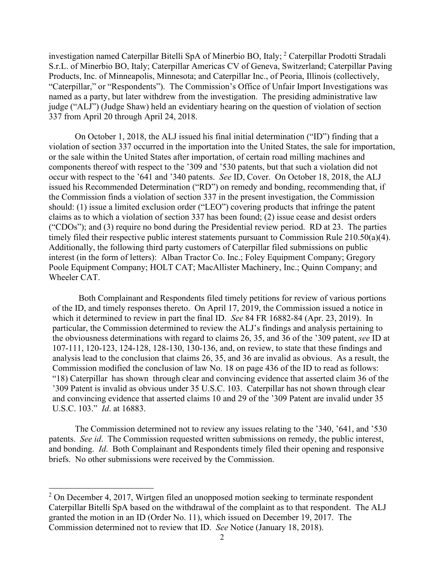investigation named Caterpillar Bitelli SpA of Minerbio BO, Italy; [2](#page-1-0) Caterpillar Prodotti Stradali S.r.L. of Minerbio BO, Italy; Caterpillar Americas CV of Geneva, Switzerland; Caterpillar Paving Products, Inc. of Minneapolis, Minnesota; and Caterpillar Inc., of Peoria, Illinois (collectively, "Caterpillar," or "Respondents"). The Commission's Office of Unfair Import Investigations was named as a party, but later withdrew from the investigation. The presiding administrative law judge ("ALJ") (Judge Shaw) held an evidentiary hearing on the question of violation of section 337 from April 20 through April 24, 2018.

On October 1, 2018, the ALJ issued his final initial determination ("ID") finding that a violation of section 337 occurred in the importation into the United States, the sale for importation, or the sale within the United States after importation, of certain road milling machines and components thereof with respect to the '309 and '530 patents, but that such a violation did not occur with respect to the '641 and '340 patents. *See* ID, Cover. On October 18, 2018, the ALJ issued his Recommended Determination ("RD") on remedy and bonding, recommending that, if the Commission finds a violation of section 337 in the present investigation, the Commission should: (1) issue a limited exclusion order ("LEO") covering products that infringe the patent claims as to which a violation of section 337 has been found; (2) issue cease and desist orders ("CDOs"); and (3) require no bond during the Presidential review period. RD at 23. The parties timely filed their respective public interest statements pursuant to Commission Rule 210.50(a)(4). Additionally, the following third party customers of Caterpillar filed submissions on public interest (in the form of letters): Alban Tractor Co. Inc.; Foley Equipment Company; Gregory Poole Equipment Company; HOLT CAT; MacAllister Machinery, Inc.; Quinn Company; and Wheeler CAT.

Both Complainant and Respondents filed timely petitions for review of various portions of the ID, and timely responses thereto. On April 17, 2019, the Commission issued a notice in which it determined to review in part the final ID. *See* 84 FR 16882-84 (Apr. 23, 2019). In particular, the Commission determined to review the ALJ's findings and analysis pertaining to the obviousness determinations with regard to claims 26, 35, and 36 of the '309 patent, *see* ID at 107-111, 120-123, 124-128, 128-130, 130-136, and, on review, to state that these findings and analysis lead to the conclusion that claims 26, 35, and 36 are invalid as obvious. As a result, the Commission modified the conclusion of law No. 18 on page 436 of the ID to read as follows: "18) Caterpillar has shown through clear and convincing evidence that asserted claim 36 of the '309 Patent is invalid as obvious under 35 U.S.C. 103. Caterpillar has not shown through clear and convincing evidence that asserted claims 10 and 29 of the '309 Patent are invalid under 35 U.S.C. 103." *Id*. at 16883.

The Commission determined not to review any issues relating to the '340, '641, and '530 patents. *See id*. The Commission requested written submissions on remedy, the public interest, and bonding. *Id*. Both Complainant and Respondents timely filed their opening and responsive briefs. No other submissions were received by the Commission.

<span id="page-1-0"></span><sup>&</sup>lt;sup>2</sup> On December 4, 2017, Wirtgen filed an unopposed motion seeking to terminate respondent Caterpillar Bitelli SpA based on the withdrawal of the complaint as to that respondent. The ALJ granted the motion in an ID (Order No. 11), which issued on December 19, 2017. The Commission determined not to review that ID. *See* Notice (January 18, 2018).